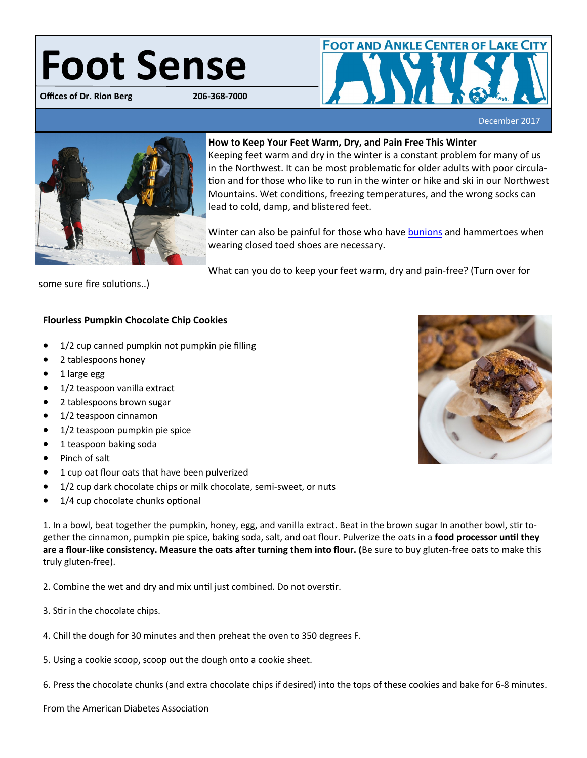## Foot Sense

**Offices of Dr. Rion Berg** 



December 2017



## **How to Keep Your Feet Warm, Dry, and Pain Free This Winter**

Keeping feet warm and dry in the winter is a constant problem for many of us in the Northwest. It can be most problematic for older adults with poor circulation and for those who like to run in the winter or hike and ski in our Northwest Mountains. Wet conditions, freezing temperatures, and the wrong socks can lead to cold, damp, and blistered feet.

Winter can also be painful for those who have [bunions](http://www.bergdpm.com/bunions.html) and hammertoes when wearing closed toed shoes are necessary.

What can you do to keep your feet warm, dry and pain-free? (Turn over for

some sure fire solutions..)

## **Flourless Pumpkin Chocolate Chip Cookies**

- 1/2 cup canned pumpkin not pumpkin pie filling
- 2 tablespoons honey
- 1 large egg
- 1/2 teaspoon vanilla extract
- 2 tablespoons brown sugar
- 1/2 teaspoon cinnamon
- 1/2 teaspoon pumpkin pie spice
- 1 teaspoon baking soda
- Pinch of salt
- 1 cup oat flour oats that have been pulverized
- 1/2 cup dark chocolate chips or milk chocolate, semi-sweet, or nuts
- 1/4 cup chocolate chunks optional

1. In a bowl, beat together the pumpkin, honey, egg, and vanilla extract. Beat in the brown sugar In another bowl, stir together the cinnamon, pumpkin pie spice, baking soda, salt, and oat flour. Pulverize the oats in a **food processor until they are a flour-like consistency. Measure the oats after turning them into flour. (**Be sure to buy gluten-free oats to make this truly gluten-free).

2. Combine the wet and dry and mix until just combined. Do not overstir.

- 3. Stir in the chocolate chips.
- 4. Chill the dough for 30 minutes and then preheat the oven to 350 degrees F.
- 5. Using a cookie scoop, scoop out the dough onto a cookie sheet.
- 6. Press the chocolate chunks (and extra chocolate chips if desired) into the tops of these cookies and bake for 6-8 minutes.

From the American Diabetes Association